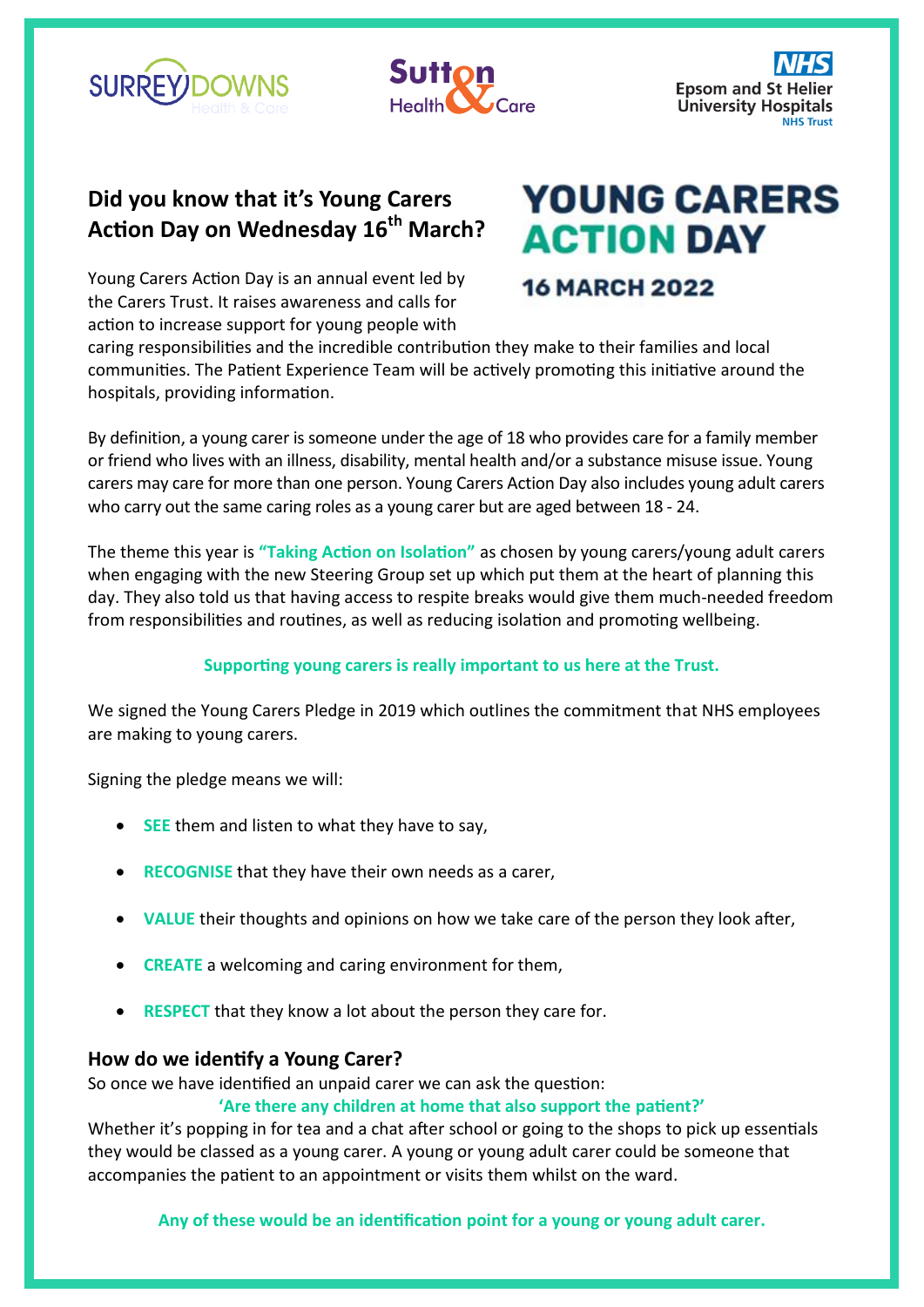



### **Did you know that it's Young Carers Action Day on Wednesday 16th March?**

# **YOUNG CARERS ACTION DAY**

Young Carers Action Day is an annual event led by the Carers Trust. It raises awareness and calls for action to increase support for young people with

## **16 MARCH 2022**

caring responsibilities and the incredible contribution they make to their families and local communities. The Patient Experience Team will be actively promoting this initiative around the hospitals, providing information.

By definition, a young carer is someone under the age of 18 who provides care for a family member or friend who lives with an illness, disability, mental health and/or a substance misuse issue. Young carers may care for more than one person. Young Carers Action Day also includes young adult carers who carry out the same caring roles as a young carer but are aged between 18 - 24.

The theme this year is **"Taking Action on Isolation"** as chosen by young carers/young adult carers when engaging with the new Steering Group set up which put them at the heart of planning this day. They also told us that having access to respite breaks would give them much-needed freedom from responsibilities and routines, as well as reducing isolation and promoting wellbeing.

#### **Supporting young carers is really important to us here at the Trust.**

We signed the Young Carers Pledge in 2019 which outlines the commitment that NHS employees are making to young carers.

Signing the pledge means we will:

- **SEE** them and listen to what they have to say,
- **RECOGNISE** that they have their own needs as a carer,
- **VALUE** their thoughts and opinions on how we take care of the person they look after,
- **CREATE** a welcoming and caring environment for them,
- **RESPECT** that they know a lot about the person they care for.

#### **How do we identify a Young Carer?**

So once we have identified an unpaid carer we can ask the question:

#### **'Are there any children at home that also support the patient?'**

Whether it's popping in for tea and a chat after school or going to the shops to pick up essentials they would be classed as a young carer. A young or young adult carer could be someone that accompanies the patient to an appointment or visits them whilst on the ward.

**Any of these would be an identification point for a young or young adult carer.**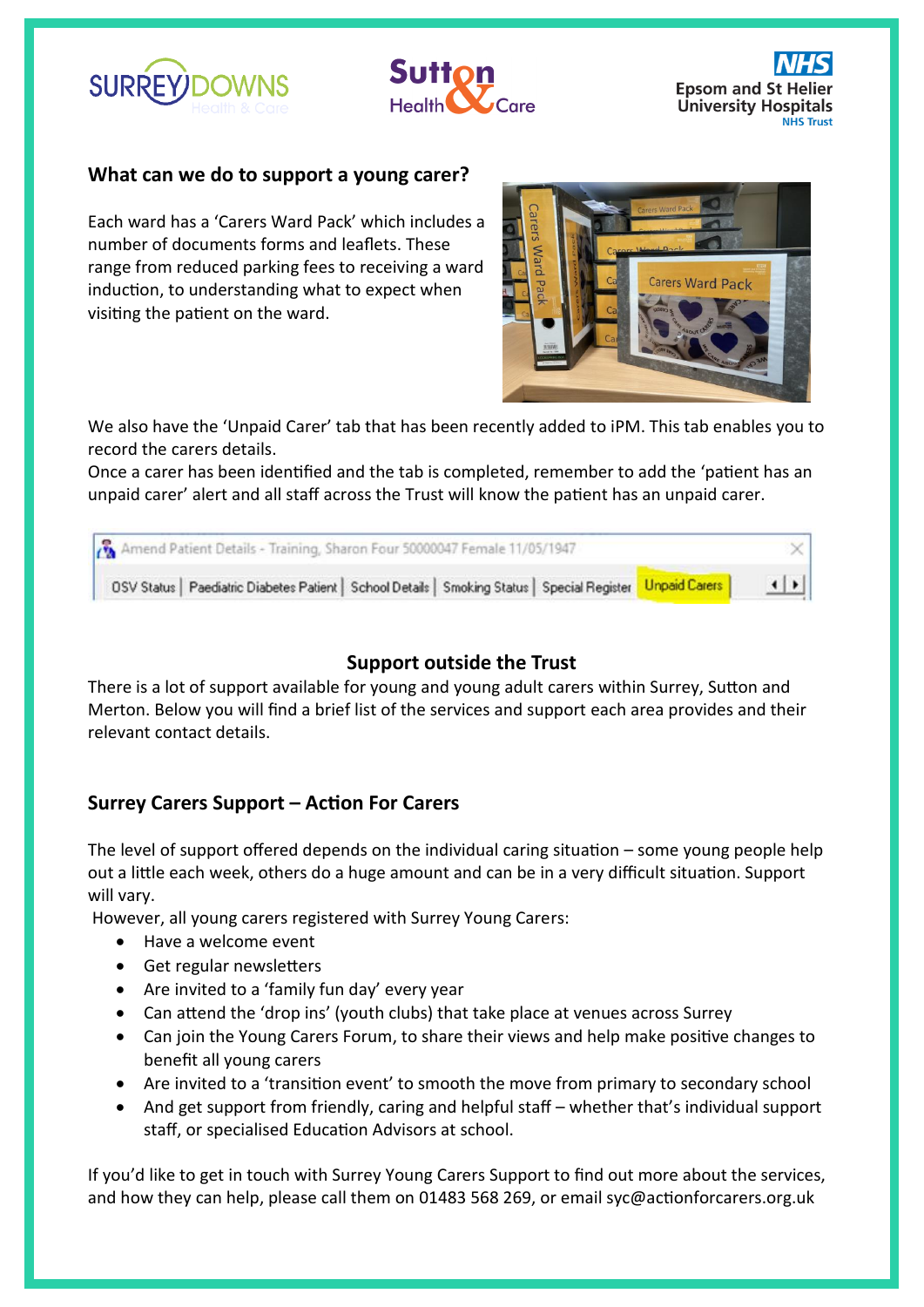





#### **What can we do to support a young carer?**

Each ward has a 'Carers Ward Pack' which includes a number of documents forms and leaflets. These range from reduced parking fees to receiving a ward induction, to understanding what to expect when visiting the patient on the ward.



We also have the 'Unpaid Carer' tab that has been recently added to iPM. This tab enables you to record the carers details.

Once a carer has been identified and the tab is completed, remember to add the 'patient has an unpaid carer' alert and all staff across the Trust will know the patient has an unpaid carer.

| Amend Patient Details - Training, Sharon Four 50000047 Female 11/05/1947                                      |                        |
|---------------------------------------------------------------------------------------------------------------|------------------------|
| OSV Status   Paediatric Diabetes Patient   School Details   Smoking Status   Special Register   Unpaid Carers | $\left  \cdot \right $ |

#### **Support outside the Trust**

There is a lot of support available for young and young adult carers within Surrey, Sutton and Merton. Below you will find a brief list of the services and support each area provides and their relevant contact details.

#### **Surrey Carers Support – Action For Carers**

The level of support offered depends on the individual caring situation – some young people help out a little each week, others do a huge amount and can be in a very difficult situation. Support will vary.

However, all young carers registered with Surrey Young Carers:

- Have a welcome event
- Get regular newsletters
- Are invited to a 'family fun day' every year
- Can attend the 'drop ins' (youth clubs) that take place at venues across Surrey
- Can join the [Young Carers Forum,](https://www.actionforcarers.org.uk/who-we-help/young-carers-under-18/have-your-say-and-make-a-difference/) to share their views and help make positive changes to benefit all young carers
- Are invited to a 'transition event' to smooth the move from primary to secondary school
- And get support from friendly, caring and helpful staff whether that's individual support staff, or specialised [Education Advisors](https://www.actionforcarers.org.uk/for-professionals/schools-colleges/education-advisors/) at school.

If you'd like to get in touch with Surrey Young Carers Support to find out more about the services, and how they can help, please call them on 01483 568 269, or email [syc@actionforcarers.org.uk](mailto:syc@actionforcarers.org.uk)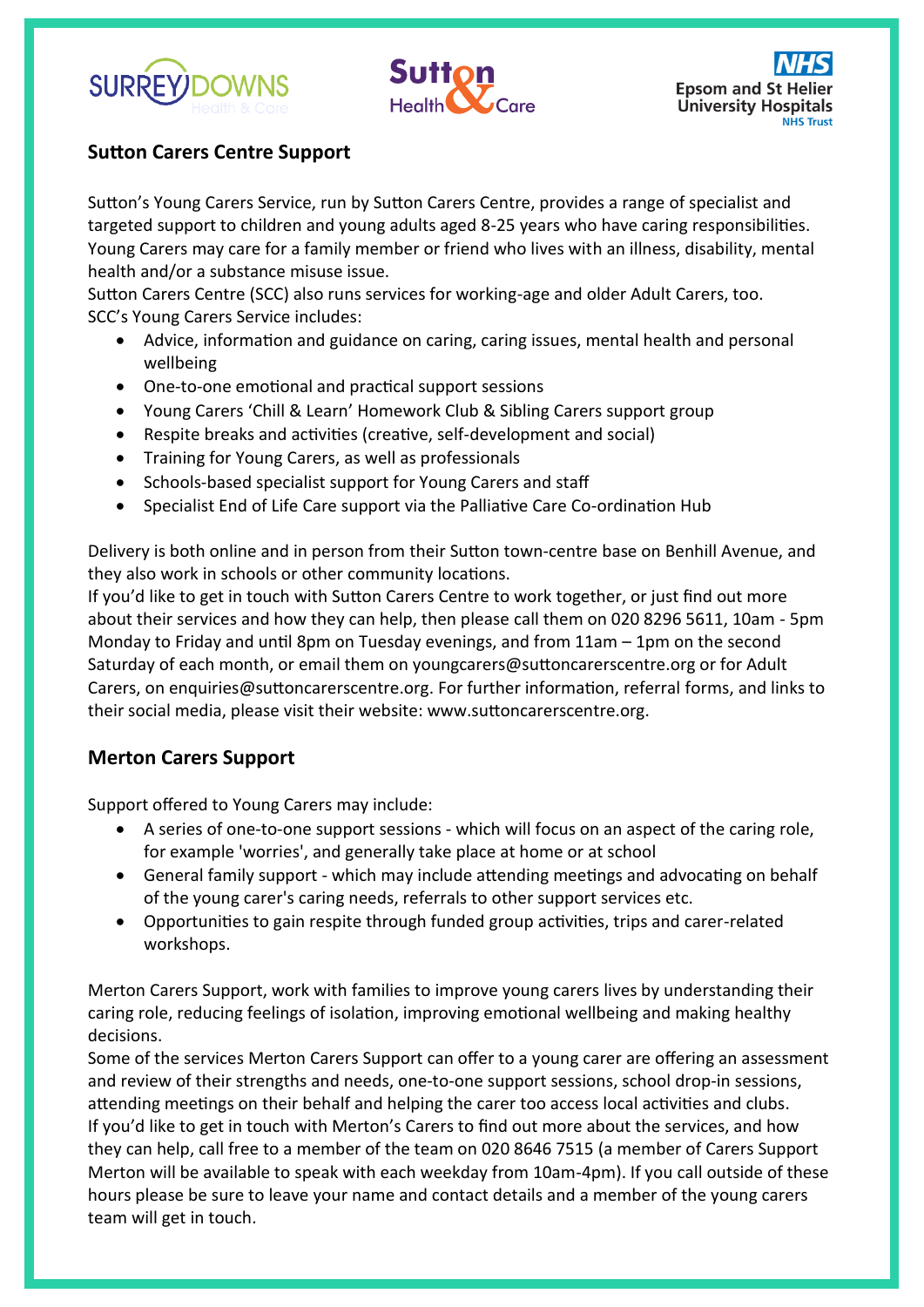





#### **Sutton Carers Centre Support**

Sutton's Young Carers Service, run by Sutton Carers Centre, provides a range of specialist and targeted support to children and young adults aged 8-25 years who have caring responsibilities. Young Carers may care for a family member or friend who lives with an illness, disability, mental health and/or a substance misuse issue.

Sutton Carers Centre (SCC) also runs services for working-age and older Adult Carers, too. SCC's Young Carers Service includes:

- Advice, information and guidance on caring, caring issues, mental health and personal wellbeing
- One-to-one emotional and practical support sessions
- Young Carers 'Chill & Learn' Homework Club & Sibling Carers support group
- Respite breaks and activities (creative, self-development and social)
- Training for Young Carers, as well as professionals
- Schools-based specialist support for Young Carers and staff
- Specialist End of Life Care support via the Palliative Care Co-ordination Hub

Delivery is both online and in person from their Sutton town-centre base on Benhill Avenue, and they also work in schools or other community locations.

If you'd like to get in touch with Sutton Carers Centre to work together, or just find out more about their services and how they can help, then please call them on 020 8296 5611, 10am - 5pm Monday to Friday and until 8pm on Tuesday evenings, and from 11am – 1pm on the second Saturday of each month, or email them on youngcarers@suttoncarerscentre.org or for Adult Carers, on enquiries@suttoncarerscentre.org. For further information, referral forms, and links to their social media, please visit their website: www.suttoncarerscentre.org.

#### **Merton Carers Support**

Support offered to Young Carers may include:

- A series of one-to-one support sessions which will focus on an aspect of the caring role, for example 'worries', and generally take place at home or at school
- General family support which may include attending meetings and advocating on behalf of the young carer's caring needs, referrals to other support services etc.
- Opportunities to gain respite through funded group activities, trips and carer-related workshops.

Merton Carers Support, work with families to improve young carers lives by understanding their caring role, reducing feelings of isolation, improving emotional wellbeing and making healthy decisions.

Some of the services Merton Carers Support can offer to a young carer are offering an assessment and review of their strengths and needs, one-to-one support sessions, school drop-in sessions, attending meetings on their behalf and helping the carer too access local activities and clubs. If you'd like to get in touch with Merton's Carers to find out more about the services, and how they can help, call free to a member of the team on 020 8646 7515 (a member of Carers Support Merton will be available to speak with each weekday from 10am-4pm). If you call outside of these hours please be sure to leave your name and contact details and a member of the young carers team will get in touch.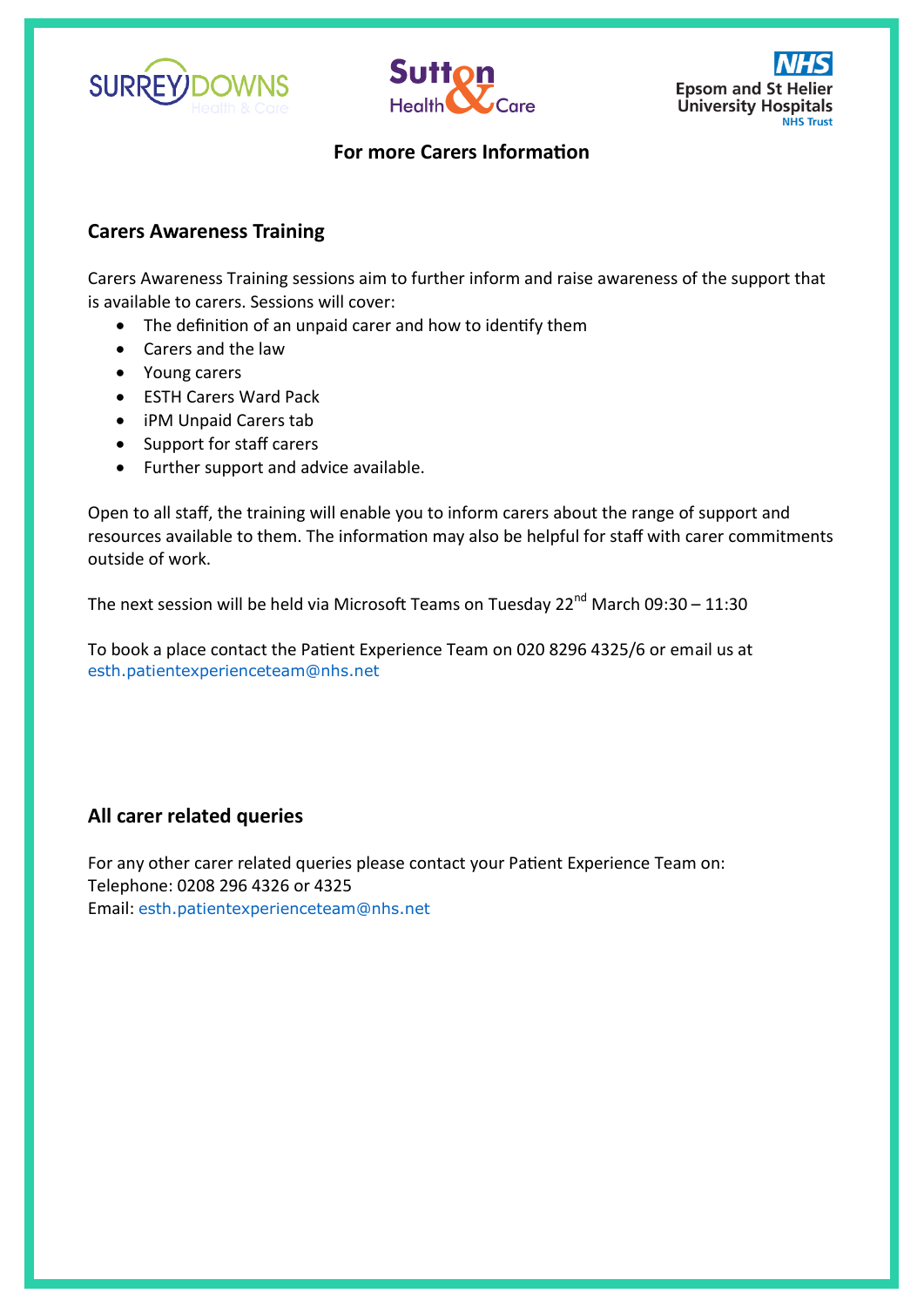





#### **For more Carers Information**

#### **Carers Awareness Training**

Carers Awareness Training sessions aim to further inform and raise awareness of the support that is available to carers. Sessions will cover:

- The definition of an unpaid carer and how to identify them
- Carers and the law
- Young carers
- ESTH Carers Ward Pack
- iPM Unpaid Carers tab
- Support for staff carers
- Further support and advice available.

Open to all staff, the training will enable you to inform carers about the range of support and resources available to them. The information may also be helpful for staff with carer commitments outside of work.

The next session will be held via Microsoft Teams on Tuesday 22<sup>nd</sup> March 09:30 – 11:30

To book a place contact the Patient Experience Team on 020 8296 4325/6 or email us at [esth.patientexperienceteam@nhs.net](mailto:esth.patientexperienceteam@nhs.net)

#### **All carer related queries**

For any other carer related queries please contact your Patient Experience Team on: Telephone: 0208 296 4326 or 4325 Email: [esth.patientexperienceteam@nhs.net](mailto:esth.patientexperienceteam@nhs.net)